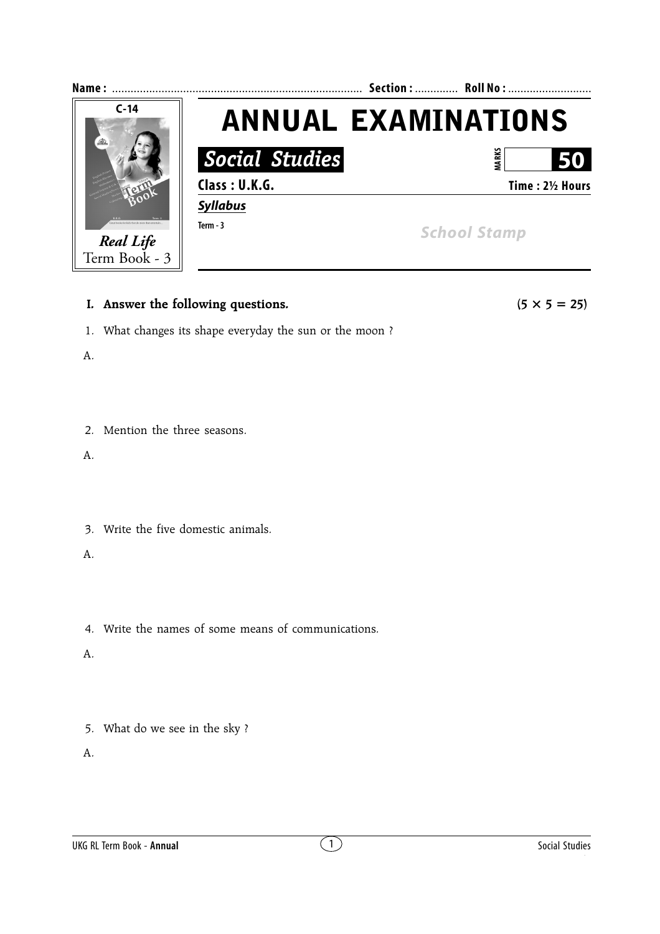

# **I.** Answer the following questions.  $(5 \times 5 = 25)$

1. What changes its shape everyday the sun or the moon ?

A.

2. Mention the three seasons.

A.

3. Write the five domestic animals.

A.

4. Write the names of some means of communications.

A.

5. What do we see in the sky ?

A.